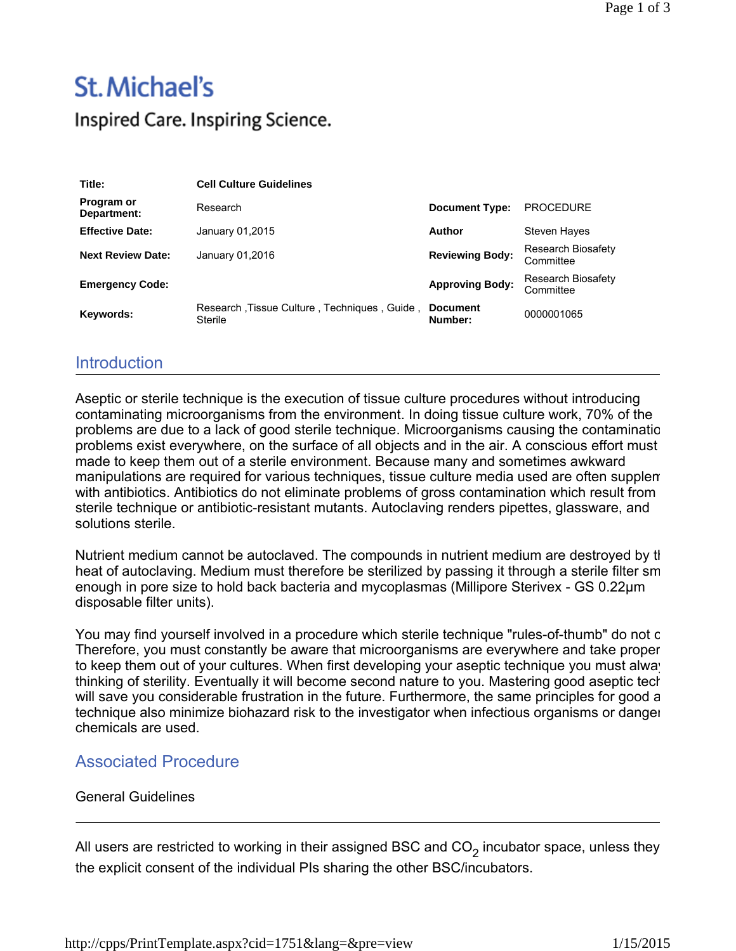# **St. Michael's** Inspired Care. Inspiring Science.

| Title:                    | <b>Cell Culture Guidelines</b>                                 |                            |                                        |
|---------------------------|----------------------------------------------------------------|----------------------------|----------------------------------------|
| Program or<br>Department: | Research                                                       | <b>Document Type:</b>      | <b>PROCEDURE</b>                       |
| <b>Effective Date:</b>    | January 01,2015                                                | Author                     | Steven Hayes                           |
| <b>Next Review Date:</b>  | January 01,2016                                                | <b>Reviewing Body:</b>     | <b>Research Biosafety</b><br>Committee |
| <b>Emergency Code:</b>    |                                                                | <b>Approving Body:</b>     | <b>Research Biosafety</b><br>Committee |
| Keywords:                 | Research, Tissue Culture, Techniques, Guide,<br><b>Sterile</b> | <b>Document</b><br>Number: | 0000001065                             |

## **Introduction**

Aseptic or sterile technique is the execution of tissue culture procedures without introducing contaminating microorganisms from the environment. In doing tissue culture work, 70% of the problems are due to a lack of good sterile technique. Microorganisms causing the contaminatio problems exist everywhere, on the surface of all objects and in the air. A conscious effort must made to keep them out of a sterile environment. Because many and sometimes awkward manipulations are required for various techniques, tissue culture media used are often supplem with antibiotics. Antibiotics do not eliminate problems of gross contamination which result from sterile technique or antibiotic-resistant mutants. Autoclaving renders pipettes, glassware, and solutions sterile.

Nutrient medium cannot be autoclaved. The compounds in nutrient medium are destroyed by th heat of autoclaving. Medium must therefore be sterilized by passing it through a sterile filter sm enough in pore size to hold back bacteria and mycoplasmas (Millipore Sterivex - GS 0.22μm disposable filter units).

You may find yourself involved in a procedure which sterile technique "rules-of-thumb" do not c Therefore, you must constantly be aware that microorganisms are everywhere and take proper to keep them out of your cultures. When first developing your aseptic technique you must alway thinking of sterility. Eventually it will become second nature to you. Mastering good aseptic tech will save you considerable frustration in the future. Furthermore, the same principles for good a technique also minimize biohazard risk to the investigator when infectious organisms or danger chemicals are used.

## Associated Procedure

### General Guidelines

All users are restricted to working in their assigned BSC and  $CO<sub>2</sub>$  incubator space, unless they the explicit consent of the individual PIs sharing the other BSC/incubators.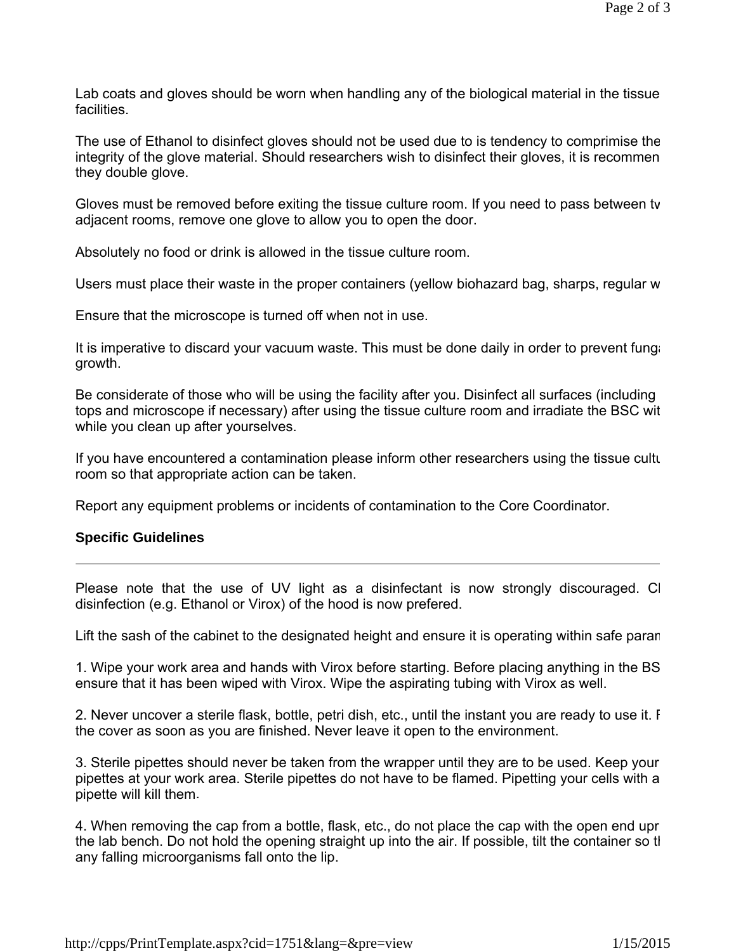Lab coats and gloves should be worn when handling any of the biological material in the tissue facilities.

The use of Ethanol to disinfect gloves should not be used due to is tendency to comprimise the integrity of the glove material. Should researchers wish to disinfect their gloves, it is recommen they double glove.

Gloves must be removed before exiting the tissue culture room. If you need to pass between tw adjacent rooms, remove one glove to allow you to open the door.

Absolutely no food or drink is allowed in the tissue culture room.

Users must place their waste in the proper containers (yellow biohazard bag, sharps, regular w

Ensure that the microscope is turned off when not in use.

It is imperative to discard your vacuum waste. This must be done daily in order to prevent fungation growth.

Be considerate of those who will be using the facility after you. Disinfect all surfaces (including tops and microscope if necessary) after using the tissue culture room and irradiate the BSC wit while you clean up after yourselves.

If you have encountered a contamination please inform other researchers using the tissue cultu room so that appropriate action can be taken.

Report any equipment problems or incidents of contamination to the Core Coordinator.

### **Specific Guidelines**

Please note that the use of UV light as a disinfectant is now strongly discouraged. Cl disinfection (e.g. Ethanol or Virox) of the hood is now prefered.

Lift the sash of the cabinet to the designated height and ensure it is operating within safe param

1. Wipe your work area and hands with Virox before starting. Before placing anything in the BS ensure that it has been wiped with Virox. Wipe the aspirating tubing with Virox as well.

2. Never uncover a sterile flask, bottle, petri dish, etc., until the instant you are ready to use it. R the cover as soon as you are finished. Never leave it open to the environment.

3. Sterile pipettes should never be taken from the wrapper until they are to be used. Keep your pipettes at your work area. Sterile pipettes do not have to be flamed. Pipetting your cells with a pipette will kill them.

4. When removing the cap from a bottle, flask, etc., do not place the cap with the open end upr the lab bench. Do not hold the opening straight up into the air. If possible, tilt the container so th any falling microorganisms fall onto the lip.